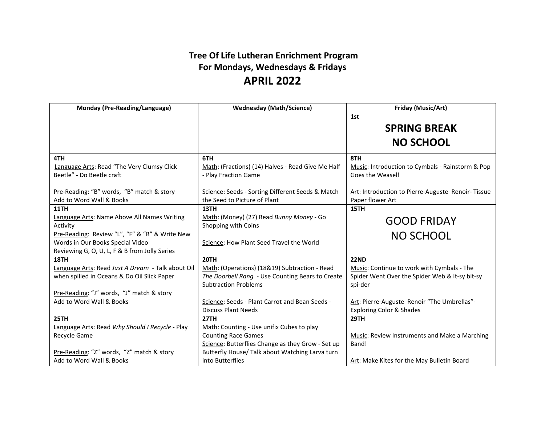## **Tree Of Life Lutheran Enrichment Program For Mondays, Wednesdays & Fridays APRIL 2022**

| Monday (Pre-Reading/Language)                     | <b>Wednesday (Math/Science)</b>                   | Friday (Music/Art)                                |
|---------------------------------------------------|---------------------------------------------------|---------------------------------------------------|
|                                                   |                                                   | 1st                                               |
|                                                   |                                                   | <b>SPRING BREAK</b>                               |
|                                                   |                                                   | <b>NO SCHOOL</b>                                  |
| 4TH                                               | 6TH                                               | 8TH                                               |
| Language Arts: Read "The Very Clumsy Click        | Math: (Fractions) (14) Halves - Read Give Me Half | Music: Introduction to Cymbals - Rainstorm & Pop  |
| Beetle" - Do Beetle craft                         | - Play Fraction Game                              | Goes the Weasel!                                  |
|                                                   |                                                   |                                                   |
| Pre-Reading: "B" words, "B" match & story         | Science: Seeds - Sorting Different Seeds & Match  | Art: Introduction to Pierre-Auguste Renoir-Tissue |
| Add to Word Wall & Books                          | the Seed to Picture of Plant                      | Paper flower Art                                  |
| <b>11TH</b>                                       | 13TH                                              | 15TH                                              |
| Language Arts: Name Above All Names Writing       | Math: (Money) (27) Read Bunny Money - Go          | <b>GOOD FRIDAY</b>                                |
| Activity                                          | Shopping with Coins                               |                                                   |
| Pre-Reading: Review "L", "F" & "B" & Write New    |                                                   | <b>NO SCHOOL</b>                                  |
| Words in Our Books Special Video                  | Science: How Plant Seed Travel the World          |                                                   |
| Reviewing G, O, U, L, F & B from Jolly Series     |                                                   |                                                   |
| 18TH                                              | <b>20TH</b>                                       | <b>22ND</b>                                       |
| Language Arts: Read Just A Dream - Talk about Oil | Math: (Operations) (18&19) Subtraction - Read     | Music: Continue to work with Cymbals - The        |
| when spilled in Oceans & Do Oil Slick Paper       | The Doorbell Rang - Use Counting Bears to Create  | Spider Went Over the Spider Web & It-sy bit-sy    |
|                                                   | <b>Subtraction Problems</b>                       | spi-der                                           |
| Pre-Reading: "J" words, "J" match & story         |                                                   |                                                   |
| Add to Word Wall & Books                          | Science: Seeds - Plant Carrot and Bean Seeds -    | Art: Pierre-Auguste Renoir "The Umbrellas"-       |
|                                                   | <b>Discuss Plant Needs</b>                        | <b>Exploring Color &amp; Shades</b>               |
| <b>25TH</b>                                       | <b>27TH</b>                                       | <b>29TH</b>                                       |
| Language Arts: Read Why Should I Recycle - Play   | Math: Counting - Use unifix Cubes to play         |                                                   |
| Recycle Game                                      | <b>Counting Race Games</b>                        | Music: Review Instruments and Make a Marching     |
|                                                   | Science: Butterflies Change as they Grow - Set up | Band!                                             |
| Pre-Reading: "Z" words, "Z" match & story         | Butterfly House/ Talk about Watching Larva turn   |                                                   |
| Add to Word Wall & Books                          | into Butterflies                                  | Art: Make Kites for the May Bulletin Board        |